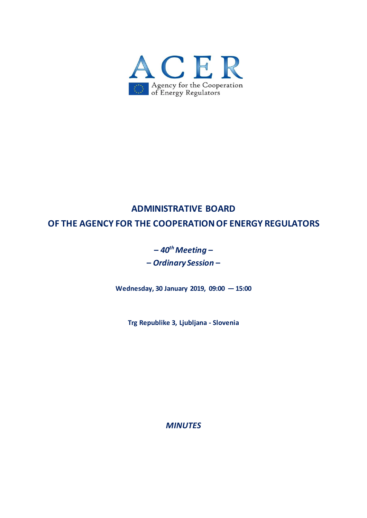

## **ADMINISTRATIVE BOARD**

**OF THE AGENCY FOR THE COOPERATION OF ENERGY REGULATORS**

# **–** *40th Meeting* **– –** *Ordinary Session* **–**

**Wednesday, 30 January 2019, 09:00 — 15:00**

**Trg Republike 3, Ljubljana - Slovenia**

*MINUTES*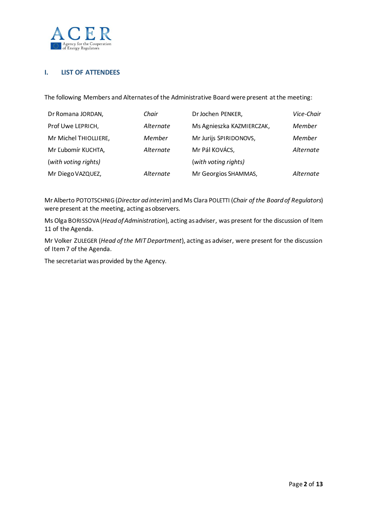

## **I. LIST OF ATTENDEES**

The following Members and Alternates of the Administrative Board were present atthe meeting:

| Dr Romana JORDAN,     | Chair     | Dr Jochen PENKER,         | Vice-Chair |
|-----------------------|-----------|---------------------------|------------|
| Prof Uwe LEPRICH,     | Alternate | Ms Agnieszka KAZMIERCZAK, | Member     |
| Mr Michel THIOLLIERE, | Member    | Mr Jurijs SPIRIDONOVS,    | Member     |
| Mr Ľubomír KUCHTA,    | Alternate | Mr Pál KOVÁCS,            | Alternate  |
| (with voting rights)  |           | (with voting rights)      |            |
| Mr Diego VAZQUEZ,     | Alternate | Mr Georgios SHAMMAS,      | Alternate  |

Mr Alberto POTOTSCHNIG(*Director ad interim*) andMs Clara POLETTI (*Chair of the Board of Regulators*) were present at the meeting, acting as observers.

Ms Olga BORISSOVA(*Head of Administration*), acting as adviser, was present for the discussion of Item 11 of the Agenda.

Mr Volker ZULEGER (*Head of the MIT Department*), acting as adviser, were present for the discussion of Item 7 of the Agenda.

The secretariat was provided by the Agency.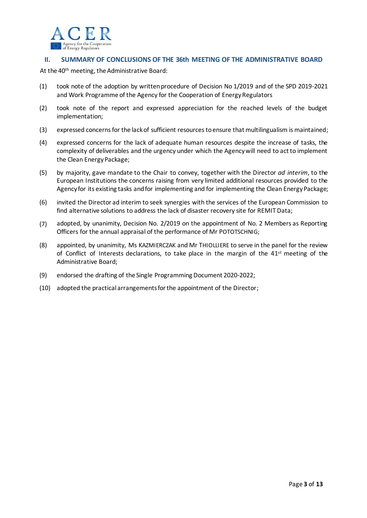

#### **II. SUMMARY OF CONCLUSIONS OF THE 36th MEETING OF THE ADMINISTRATIVE BOARD**

At the 40th meeting, the Administrative Board:

- (1) took note of the adoption by written procedure of Decision No 1/2019 and of the SPD 2019-2021 and Work Programme of the Agency for the Cooperation of Energy Regulators
- (2) took note of the report and expressed appreciation for the reached levels of the budget implementation;
- (3) expressed concerns for the lack of sufficient resources to ensure that multilingualism is maintained;
- (4) expressed concerns for the lack of adequate human resources despite the increase of tasks, the complexity of deliverables and the urgency under which the Agency will need to act to implement the Clean Energy Package;
- (5) by majority, gave mandate to the Chair to convey, together with the Director *ad interim*, to the European Institutions the concerns raising from very limited additional resources provided to the Agency for its existing tasks and for implementing and for implementing the Clean Energy Package;
- (6) invited the Director ad interim to seek synergies with the services of the European Commission to find alternative solutions to address the lack of disaster recovery site for REMIT Data;
- (7) adopted, by unanimity, Decision No. 2/2019 on the appointment of No. 2 Members as Reporting Officers for the annual appraisal of the performance of Mr POTOTSCHNIG;
- (8) appointed, by unanimity, Ms KAZMIERCZAK and Mr THIOLLIERE to serve in the panel for the review of Conflict of Interests declarations, to take place in the margin of the 41<sup>st</sup> meeting of the Administrative Board;
- (9) endorsed the drafting of the Single Programming Document 2020-2022;
- (10) adopted the practical arrangements for the appointment of the Director;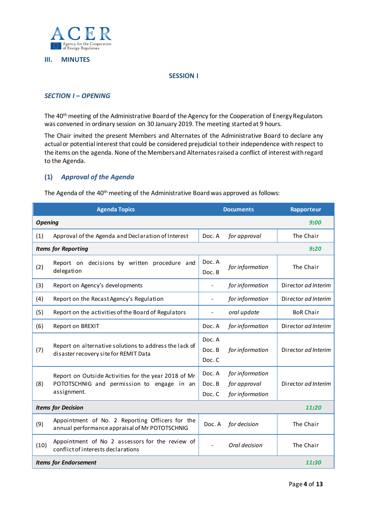

#### **III. MINUTES**

#### **SESSION I**

#### *SECTION I – OPENING*

The 40th meeting of the Administrative Board of the Agency for the Cooperation of Energy Regulators was convened in ordinary session on 30 January 2019. The meeting started at 9 hours.

The Chair invited the present Members and Alternates of the Administrative Board to declare any actual or potential interest that could be considered prejudicial to their independence with respect to the items on the agenda. None of the Members and Alternatesraised a conflict of interest with regard to the Agenda.

#### **(1)** *Approval of the Agenda*

The Agenda of the 40th meeting of the Administrative Board was approved as follows:

| <b>Agenda Topics</b>                  |                                                                                                                   | <b>Documents</b>           |                                                    | Rapporteur          |  |
|---------------------------------------|-------------------------------------------------------------------------------------------------------------------|----------------------------|----------------------------------------------------|---------------------|--|
| <b>Opening</b><br>9:00                |                                                                                                                   |                            |                                                    |                     |  |
| (1)                                   | Approval of the Agenda and Declaration of Interest                                                                | Doc. A                     | for approval                                       | The Chair           |  |
| <b>Items for Reporting</b>            |                                                                                                                   |                            |                                                    | 9:20                |  |
| (2)                                   | Report on decisions by written procedure and<br>delegation                                                        | Doc. A<br>Doc. B           | for information                                    | The Chair           |  |
| (3)                                   | Report on Agency's developments                                                                                   | $\overline{\phantom{0}}$   | for information                                    | Director ad Interim |  |
| (4)                                   | Report on the Recast Agency's Regulation                                                                          |                            | for information                                    | Director ad Interim |  |
| (5)                                   | Report on the activities of the Board of Regulators                                                               |                            | oral update                                        | <b>BoR Chair</b>    |  |
| (6)                                   | Report on BREXIT                                                                                                  | Doc. A                     | for information                                    | Director ad Interim |  |
| (7)                                   | Report on alternative solutions to address the lack of<br>disaster recovery site for REMIT Data                   | Doc. A<br>Doc. B<br>Doc. C | for information                                    | Director ad Interim |  |
| (8)                                   | Report on Outside Activities for the year 2018 of Mr<br>POTOTSCHNIG and permission to engage in an<br>assignment. | Doc. A<br>Doc. B<br>Doc. C | for information<br>for approval<br>for information | Director ad Interim |  |
| <b>Items for Decision</b><br>11:20    |                                                                                                                   |                            |                                                    |                     |  |
| (9)                                   | Appointment of No. 2 Reporting Officers for the<br>annual performance appraisal of Mr POTOTSCHNIG                 | Doc. A                     | for decision                                       | The Chair           |  |
| (10)                                  | Appointment of No 2 assessors for the review of<br>conflict of interests declarations                             | $\overline{a}$             | Oral decision                                      | The Chair           |  |
| <b>Items for Endorsement</b><br>11.30 |                                                                                                                   |                            |                                                    |                     |  |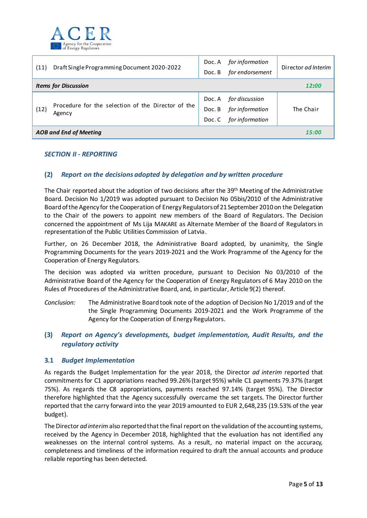

| (11)                        | Draft Single Programming Document 2020-2022                  | Doc. A<br>Doc. B | for information<br>for endorsement | Director ad Interim |
|-----------------------------|--------------------------------------------------------------|------------------|------------------------------------|---------------------|
| <b>Items for Discussion</b> |                                                              |                  | 12:00                              |                     |
| (12)                        | Procedure for the selection of the Director of the<br>Agency | Doc. A           | for discussion                     |                     |
|                             |                                                              | Doc. B           | for information                    | The Chair           |
|                             |                                                              | Doc. C           | for information                    |                     |
|                             | <b>AOB and End of Meeting</b>                                |                  |                                    | 15:00               |

#### *SECTION II - REPORTING*

## **(2)** *Report on the decisions adopted by delegation and by written procedure*

The Chair reported about the adoption of two decisions after the 39<sup>th</sup> Meeting of the Administrative Board. Decision No 1/2019 was adopted pursuant to Decision No 05bis/2010 of the Administrative Boardof the Agency for the Cooperation of Energy Regulators of 21 September 2010 on the Delegation to the Chair of the powers to appoint new members of the Board of Regulators. The Decision concerned the appointment of Ms Lija MAKARE as Alternate Member of the Board of Regulators in representation of the Public Utilities Commission of Latvia.

Further, on 26 December 2018, the Administrative Board adopted, by unanimity, the Single Programming Documents for the years 2019-2021 and the Work Programme of the Agency for the Cooperation of Energy Regulators.

The decision was adopted via written procedure, pursuant to Decision No 03/2010 of the Administrative Board of the Agency for the Cooperation of Energy Regulators of 6 May 2010 on the Rules of Procedures of the Administrative Board, and, in particular, Article 9(2) thereof.

*Conclusion:* The Administrative Board took note of the adoption of Decision No 1/2019 and of the the Single Programming Documents 2019-2021 and the Work Programme of the Agency for the Cooperation of Energy Regulators.

## **(3)** *Report on Agency's developments, budget implementation, Audit Results, and the regulatory activity*

#### **3.1** *Budget Implementation*

As regards the Budget Implementation for the year 2018, the Director *ad interim* reported that commitments for C1 appropriations reached 99.26% (target 95%) while C1 payments 79.37% (target 75%). As regards the C8 appropriations, payments reached 97.14% (target 95%). The Director therefore highlighted that the Agency successfully overcame the set targets. The Director further reported that the carry forward into the year 2019 amounted to EUR 2,648,235 (19.53% of the year budget).

The Director *ad interim*also reported that the final report on the validation of the accounting systems, received by the Agency in December 2018, highlighted that the evaluation has not identified any weaknesses on the internal control systems. As a result, no material impact on the accuracy, completeness and timeliness of the information required to draft the annual accounts and produce reliable reporting has been detected.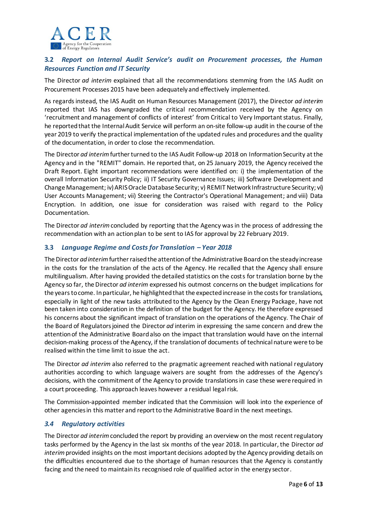

## **3.2** *Report on Internal Audit Service's audit on Procurement processes, the Human Resources Function and IT Security*

The Director *ad interim* explained that all the recommendations stemming from the IAS Audit on Procurement Processes 2015 have been adequately and effectively implemented.

As regardsinstead, the IAS Audit on Human Resources Management (2017), the Director *ad interim* reported that IAS has downgraded the critical recommendation received by the Agency on 'recruitment and management of conflicts of interest' from Critical to Very Important status. Finally, he reported that the Internal Audit Service will perform an on-site follow-up audit in the course of the year 2019 to verify the practical implementation of the updated rules and procedures and the quality of the documentation, in order to close the recommendation.

The Director *ad interim* further turned to the IAS Audit Follow-up 2018 on Information Security at the Agency and in the "REMIT" domain. He reported that, on 25 January 2019, the Agency received the Draft Report. Eight important recommendations were identified on: i) the implementation of the overall Information Security Policy; ii) IT Security Governance Issues; iii) Software Development and Change Management; iv) ARIS Oracle Database Security; v) REMIT Network Infrastructure Security; vi) User Accounts Management; vii) Steering the Contractor's Operational Management; and viii) Data Encryption. In addition, one issue for consideration was raised with regard to the Policy Documentation.

The Director *ad interim*concluded by reporting that the Agency was in the process of addressing the recommendation with an action plan to be sent to IAS for approval by 22 February 2019.

## **3.3** *Language Regime and Costs for Translation – Year 2018*

The Director *ad interim*further raised the attention of the Administrative Board on the steady increase in the costs for the translation of the acts of the Agency. He recalled that the Agency shall ensure multilingualism. After having provided the detailed statistics on the costs for translation borne by the Agency so far, the Director *ad interim* expressed his outmost concerns on the budget implications for the years to come. In particular, he highlighted that the expected increase in the costs for translations, especially in light of the new tasks attributed to the Agency by the Clean Energy Package, have not been taken into consideration in the definition of the budget for the Agency. He therefore expressed his concerns about the significant impact of translation on the operations of the Agency. The Chair of the Board of Regulators joined the Director *ad* interim in expressing the same concern and drew the attention of the Administrative Board also on the impact that translation would have on the internal decision-making process of the Agency, if the translation of documents of technical nature were to be realised within the time limit to issue the act.

The Director *ad interim* also referred to the pragmatic agreement reached with national regulatory authorities according to which language waivers are sought from the addresses of the Agency's decisions, with the commitment of the Agency to provide translations in case these were required in a court proceeding. This approach leaves however a residual legal risk.

The Commission-appointed member indicated that the Commission will look into the experience of other agencies in this matter and report to the Administrative Board in the next meetings.

#### *3.4 Regulatory activities*

The Director *ad interim*concluded the report by providing an overview on the most recent regulatory tasks performed by the Agency in the last six months of the year 2018. In particular, the Director *ad interim*provided insights on the most important decisions adopted by the Agency providing details on the difficulties encountered due to the shortage of human resources that the Agency is constantly facing and the need to maintain its recognised role of qualified actor in the energy sector.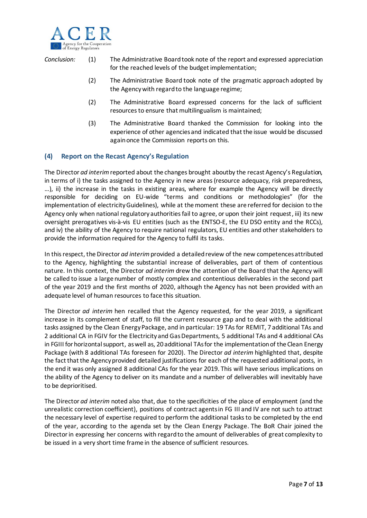

*Conclusion:* (1) The Administrative Board took note of the report and expressed appreciation for the reached levels of the budget implementation;

- (2) The Administrative Board took note of the pragmatic approach adopted by the Agency with regard to the language regime;
- (2) The Administrative Board expressed concerns for the lack of sufficient resources to ensure that multilingualism is maintained;
- (3) The Administrative Board thanked the Commission for looking into the experience of other agencies and indicated that the issue would be discussed again once the Commission reports on this.

#### **(4) Report on the Recast Agency's Regulation**

The Director *ad interim*reported about the changes brought aboutby the recast Agency's Regulation, in terms of i) the tasks assigned to the Agency in new areas (resource adequacy, risk preparedness, …), ii) the increase in the tasks in existing areas, where for example the Agency will be directly responsible for deciding on EU-wide "terms and conditions or methodologies" (for the implementation of electricity Guidelines), while at the moment these are referred for decision to the Agency only when national regulatory authorities fail to agree, or upon their joint request, iii) its new oversight prerogatives vis-à-vis EU entities (such as the ENTSO-E, the EU DSO entity and the RCCs), and iv) the ability of the Agency to require national regulators, EU entities and other stakeholders to provide the information required for the Agency to fulfil its tasks.

In this respect, the Director *ad interim*provided a detailedreview of the new competences attributed to the Agency, highlighting the substantial increase of deliverables, part of them of contentious nature. In this context, the Director *ad interim* drew the attention of the Board that the Agency will be called to issue a large number of mostly complex and contentious deliverables in the second part of the year 2019 and the first months of 2020, although the Agency has not been provided with an adequate level of human resources to face this situation.

The Director *ad interim* hen recalled that the Agency requested, for the year 2019, a significant increase in its complement of staff, to fill the current resource gap and to deal with the additional tasks assigned by the Clean Energy Package, and in particular: 19 TAs for REMIT, 7 additional TAs and 2 additional CA in FGIV for the Electricity and GasDepartments, 5 additional TAs and 4 additional CAs in FGIII for horizontal support, as well as, 20 additional TAsfor the implementation of the Clean Energy Package (with 8 additional TAs foreseen for 2020). The Director *ad interim* highlighted that, despite the fact that the Agency provided detailed justifications for each of the requested additional posts, in the end it was only assigned 8 additional CAs for the year 2019. This will have serious implications on the ability of the Agency to deliver on its mandate and a number of deliverables will inevitably have to be deprioritised.

The Director *ad interim* noted also that, due to the specificities of the place of employment (and the unrealistic correction coefficient), positions of contract agents in FG III and IV are not such to attract the necessary level of expertise required to perform the additional tasks to be completed by the end of the year, according to the agenda set by the Clean Energy Package. The BoR Chair joined the Director in expressing her concerns with regard to the amount of deliverables of great complexity to be issued in a very short time frame in the absence of sufficient resources.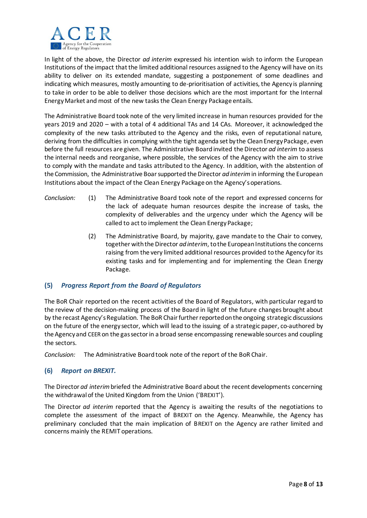

In light of the above, the Director *ad interim* expressed his intention wish to inform the European Institutions of the impact that the limited additional resources assigned to the Agency will have on its ability to deliver on its extended mandate, suggesting a postponement of some deadlines and indicating which measures, mostly amounting to de-prioritisation of activities, the Agency is planning to take in order to be able to deliver those decisions which are the most important for the Internal Energy Market and most of the new tasks the Clean Energy Package entails.

The Administrative Board took note of the very limited increase in human resources provided for the years 2019 and 2020 – with a total of 4 additional TAs and 14 CAs. Moreover, it acknowledged the complexity of the new tasks attributed to the Agency and the risks, even of reputational nature, deriving from the difficulties in complying with the tight agenda set by the Clean Energy Package, even before the full resources are given. The Administrative Board invited the Director *ad interim* to assess the internal needs and reorganise, where possible, the services of the Agency with the aim to strive to comply with the mandate and tasks attributed to the Agency. In addition, with the abstention of the Commission, the Administrative Boar supported the Director *ad interim* in informing the European Institutions about the impact of the Clean Energy Package on the Agency's operations.

- *Conclusion:* (1) The Administrative Board took note of the report and expressed concerns for the lack of adequate human resources despite the increase of tasks, the complexity of deliverables and the urgency under which the Agency will be called to act to implement the Clean Energy Package;
	- (2) The Administrative Board, by majority, gave mandate to the Chair to convey, together with the Director *ad interim*, to the European Institutions the concerns raising from the very limited additional resources provided to the Agency for its existing tasks and for implementing and for implementing the Clean Energy Package.

#### **(5)** *Progress Report from the Board of Regulators*

The BoR Chair reported on the recent activities of the Board of Regulators, with particular regard to the review of the decision-making process of the Board in light of the future changes brought about by the recast Agency's Regulation. The BoR Chair further reported on the ongoing strategic discussions on the future of the energy sector, which will lead to the issuing of a strategic paper, co-authored by the Agency and CEER on the gas sector in a broad sense encompassing renewable sources and coupling the sectors.

*Conclusion:* The Administrative Board took note of the report of the BoR Chair.

#### **(6)** *Report on BREXIT.*

The Director *ad interim*briefed the Administrative Board about the recent developments concerning the withdrawal of the United Kingdom from the Union ('BREXIT').

The Director *ad interim* reported that the Agency is awaiting the results of the negotiations to complete the assessment of the impact of BREXIT on the Agency. Meanwhile, the Agency has preliminary concluded that the main implication of BREXIT on the Agency are rather limited and concerns mainly the REMIT operations.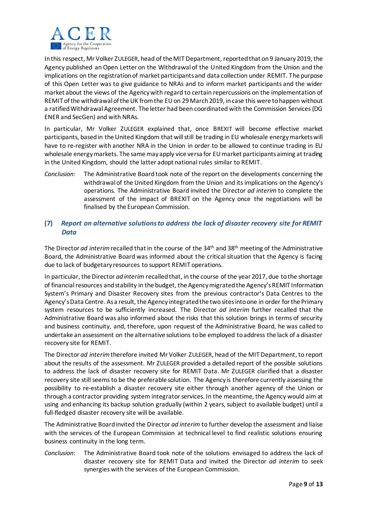

In this respect, Mr Volker ZULEGER, head of the MIT Department, reported that on 9 January 2019, the Agency published an Open Letter on the Withdrawal of the United Kingdom from the Union and the implications on the registration of market participants and data collection under REMIT. The purpose of this Open Letter was to give guidance to NRAs and to inform market participants and the wider market about the views of the Agency with regard to certain repercussions on the implementation of REMIT of the withdrawal of the UK from the EU on 29 March 2019, in case this were to happen without a ratified Withdrawal Agreement. The letter had been coordinated with the Commission Services (DG ENER and SecGen) and with NRAs.

In particular, Mr Volker ZULEGER explained that, once BREXIT will become effective market participants, based in the United Kingdom that will still be trading in EU wholesale energy markets will have to re-register with another NRA in the Union in order to be allowed to continue trading in EU wholesale energy markets. The same may apply vice versa for EU market participants aiming at trading in the United Kingdom, should the latter adopt national rules similar to REMIT.

*Conclusion:* The Administrative Board took note of the report on the developments concerning the withdrawal of the United Kingdom from the Union and its implications on the Agency's operations. The Administrative Board invited the Director *ad interim* to complete the assessment of the impact of BREXIT on the Agency once the negotiations will be finalised by the European Commission.

## **(7)** *Report on alternative solutions to address the lack of disaster recovery site for REMIT Data*

The Director *ad interim* recalled that in the course of the 34<sup>th</sup> and 38<sup>th</sup> meeting of the Administrative Board, the Administrative Board was informed about the critical situation that the Agency is facing due to lack of budgetary resources to support REMIT operations.

In particular, the Director *ad interim* recalled that, in the course of the year 2017, due to the shortage of financial resources and stability in the budget, the Agency migrated the Agency's REMIT Information System's Primary and Disaster Recovery sites from the previous contractor's Data Centres to the Agency's Data Centre. As a result, the Agency integrated the two sites into one in order for the Primary system resources to be sufficiently increased. The Director *ad interim* further recalled that the Administrative Board was also informed about the risks that this solution brings in terms of security and business continuity, and, therefore, upon request of the Administrative Board, he was called to undertake an assessment on the alternative solutions to be employed to address the lack of a disaster recovery site for REMIT.

The Director *ad interim* therefore invited Mr Volker ZULEGER, head of the MIT Department, to report about the results of the assessment. Mr ZULEGER provided a detailed report of the possible solutions to address the lack of disaster recovery site for REMIT Data. Mr ZULEGER clarified that a disaster recovery site still seemsto be the preferable solution. The Agency is therefore currently assessing the possibility to re-establish a disaster recovery site either through another agency of the Union or through a contractor providing system integrator services. In the meantime, the Agency would aim at using and enhancing its backup solution gradually (within 2 years, subject to available budget) until a full-fledged disaster recovery site will be available.

The Administrative Board invited the Director *ad interim* to further develop the assessment and liaise with the services of the European Commission at technical level to find realistic solutions ensuring business continuity in the long term.

*Conclusion*: The Administrative Board took note of the solutions envisaged to address the lack of disaster recovery site for REMIT Data and invited the Director *ad interim* to seek synergies with the services of the European Commission.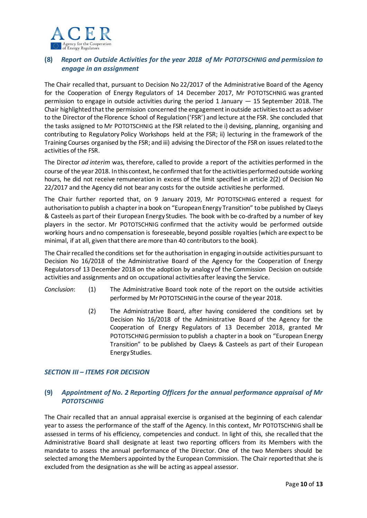

## **(8)** *Report on Outside Activities for the year 2018 of Mr POTOTSCHNIG and permission to engage in an assignment*

The Chair recalled that, pursuant to Decision No 22/2017 of the Administrative Board of the Agency for the Cooperation of Energy Regulators of 14 December 2017, Mr POTOTSCHNIG was granted permission to engage in outside activities during the period 1 January  $-15$  September 2018. The Chair highlighted that the permission concerned the engagement in outside activities to act as adviser to the Director of the Florence School of Regulation ('FSR') and lecture at the FSR. She concluded that the tasks assigned to Mr POTOTSCHNIG at the FSR related to the i) devising, planning, organising and contributing to Regulatory Policy Workshops held at the FSR; ii) lecturing in the framework of the Training Courses organised by the FSR; and iii) advising the Director of the FSR on issues related to the activities of the FSR.

The Director *ad interim* was, therefore, called to provide a report of the activities performed in the course of the year 2018. In this context, he confirmed that for the activities performed outside working hours, he did not receive remuneration in excess of the limit specified in article 2(2) of Decision No 22/2017 and the Agency did not bear any costs for the outside activities he performed.

The Chair further reported that, on 9 January 2019, Mr POTOTSCHNIG entered a request for authorisation to publish a chapter in a book on "European Energy Transition" to be published by Claeys & Casteels as part of their European Energy Studies. The book with be co-drafted by a number of key players in the sector. Mr POTOTSCHNIG confirmed that the activity would be performed outside working hours and no compensation is foreseeable, beyond possible royalties (which are expect to be minimal, if at all, given that there are more than 40 contributors to the book).

The Chair recalled the conditions set for the authorisation in engaging in outside activities pursuant to Decision No 16/2018 of the Administrative Board of the Agency for the Cooperation of Energy Regulators of 13 December 2018 on the adoption by analogy of the Commission Decision on outside activities and assignments and on occupational activities after leaving the Service.

- *Conclusion*: (1) The Administrative Board took note of the report on the outside activities performed by Mr POTOTSCHNIG in the course of the year 2018.
	- (2) The Administrative Board, after having considered the conditions set by Decision No 16/2018 of the Administrative Board of the Agency for the Cooperation of Energy Regulators of 13 December 2018, granted Mr POTOTSCHNIG permission to publish a chapter in a book on "European Energy Transition" to be published by Claeys & Casteels as part of their European Energy Studies.

#### *SECTION III – ITEMS FOR DECISION*

## **(9)** *Appointment of No. 2 Reporting Officers for the annual performance appraisal of Mr POTOTSCHNIG*

The Chair recalled that an annual appraisal exercise is organised at the beginning of each calendar year to assess the performance of the staff of the Agency. In this context, Mr POTOTSCHNIG shall be assessed in terms of his efficiency, competencies and conduct. In light of this, she recalled that the Administrative Board shall designate at least two reporting officers from its Members with the mandate to assess the annual performance of the Director. One of the two Members should be selected among the Members appointed by the European Commission. The Chair reported that she is excluded from the designation as she will be acting as appeal assessor.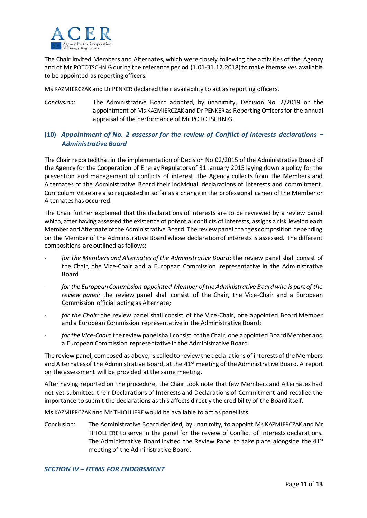

The Chair invited Members and Alternates, which were closely following the activities of the Agency and of Mr POTOTSCHNIG during the reference period (1.01-31.12.2018) to make themselves available to be appointed as reporting officers.

Ms KAZMIERCZAK and Dr PENKER declared their availability to act as reporting officers.

*Conclusion*: The Administrative Board adopted, by unanimity, Decision No. 2/2019 on the appointment of Ms KAZMIERCZAK and Dr PENKER as Reporting Officers for the annual appraisal of the performance of Mr POTOTSCHNIG.

## **(10)** *Appointment of No. 2 assessor for the review of Conflict of Interests declarations – Administrative Board*

The Chair reported that in the implementation of Decision No 02/2015 of the Administrative Board of the Agency for the Cooperation of Energy Regulators of 31 January 2015 laying down a policy for the prevention and management of conflicts of interest, the Agency collects from the Members and Alternates of the Administrative Board their individual declarations of interests and commitment. Curriculum Vitae are also requested in so far as a change in the professional career of the Member or Alternates has occurred.

The Chair further explained that the declarations of interests are to be reviewed by a review panel which, after having assessed the existence of potential conflicts of interests, assigns a risk level to each Member and Alternate of the Administrative Board. The review panel changes composition depending on the Member of the Administrative Board whose declaration of interests is assessed. The different compositions are outlined as follows:

- *for the Members and Alternates of the Administrative Board*: the review panel shall consist of the Chair, the Vice-Chair and a European Commission representative in the Administrative Board
- *- for the European Commission-appointed Member of the Administrative Board who is part of the review panel:* the review panel shall consist of the Chair, the Vice-Chair and a European Commission official acting as Alternate*;*
- *for the Chair*: the review panel shall consist of the Vice-Chair, one appointed Board Member and a European Commission representative in the Administrative Board;
- for the Vice-Chair: the review panel shall consist of the Chair, one appointed Board Member and a European Commission representative in the Administrative Board.

The review panel, composed as above, is called to review the declarations of interests of the Members and Alternates of the Administrative Board, at the 41<sup>st</sup> meeting of the Administrative Board. A report on the assessment will be provided at the same meeting.

After having reported on the procedure, the Chair took note that few Members and Alternates had not yet submitted their Declarations of Interests and Declarations of Commitment and recalled the importance to submit the declarations as this affects directly the credibility of the Board itself.

Ms KAZMIERCZAK and Mr THIOLLIEREwould be available to act as panellists.

Conclusion: The Administrative Board decided, by unanimity, to appoint Ms KAZMIERCZAK and Mr THIOLLIERE to serve in the panel for the review of Conflict of Interests declarations. The Administrative Board invited the Review Panel to take place alongside the 41<sup>st</sup> meeting of the Administrative Board.

#### *SECTION IV – ITEMS FOR ENDORSMENT*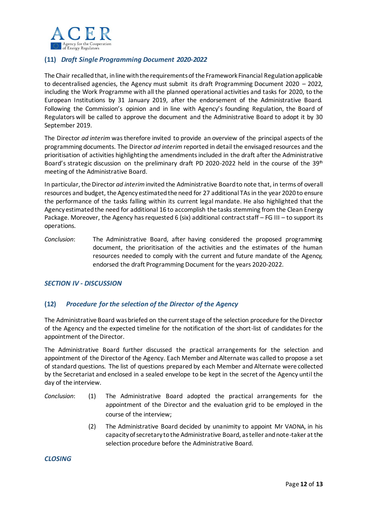

## **(11)** *Draft Single Programming Document 2020-2022*

The Chair recalled that, in line with the requirements of the Framework Financial Regulation applicable to decentralised agencies, the Agency must submit its draft Programming Document 2020 – 2022, including the Work Programme with all the planned operational activities and tasks for 2020, to the European Institutions by 31 January 2019, after the endorsement of the Administrative Board. Following the Commission's opinion and in line with Agency's founding Regulation, the Board of Regulators will be called to approve the document and the Administrative Board to adopt it by 30 September 2019.

The Director *ad interim* was therefore invited to provide an overview of the principal aspects of the programming documents. The Director *ad interim* reported in detail the envisaged resources and the prioritisation of activities highlighting the amendments included in the draft after the Administrative Board's strategic discussion on the preliminary draft PD 2020-2022 held in the course of the 39<sup>th</sup> meeting of the Administrative Board.

In particular, the Director *ad interim*invited the Administrative Board to note that, in terms of overall resources and budget, the Agency estimatedthe need for 27 additional TAsin the year 2020 to ensure the performance of the tasks falling within its current legal mandate. He also highlighted that the Agency estimated the need for additional 16 to accomplish the tasks stemming from the Clean Energy Package. Moreover, the Agency has requested 6 (six) additional contract staff – FG III – to support its operations.

*Conclusion*: The Administrative Board, after having considered the proposed programming document, the prioritisation of the activities and the estimates of the human resources needed to comply with the current and future mandate of the Agency, endorsed the draft Programming Document for the years 2020-2022.

#### *SECTION IV - DISCUSSION*

#### **(12)** *Procedure for the selection of the Director of the Agency*

The Administrative Board was briefed on the current stage of the selection procedure for the Director of the Agency and the expected timeline for the notification of the short-list of candidates for the appointment of the Director.

The Administrative Board further discussed the practical arrangements for the selection and appointment of the Director of the Agency. Each Member and Alternate was called to propose a set of standard questions. The list of questions prepared by each Member and Alternate were collected by the Secretariat and enclosed in a sealed envelope to be kept in the secret of the Agency until the day of the interview.

- *Conclusion*: (1) The Administrative Board adopted the practical arrangements for the appointment of the Director and the evaluation grid to be employed in the course of the interview;
	- (2) The Administrative Board decided by unanimity to appoint Mr VAONA, in his capacity of secretary to the Administrative Board, as teller and note-taker at the selection procedure before the Administrative Board.

*CLOSING*